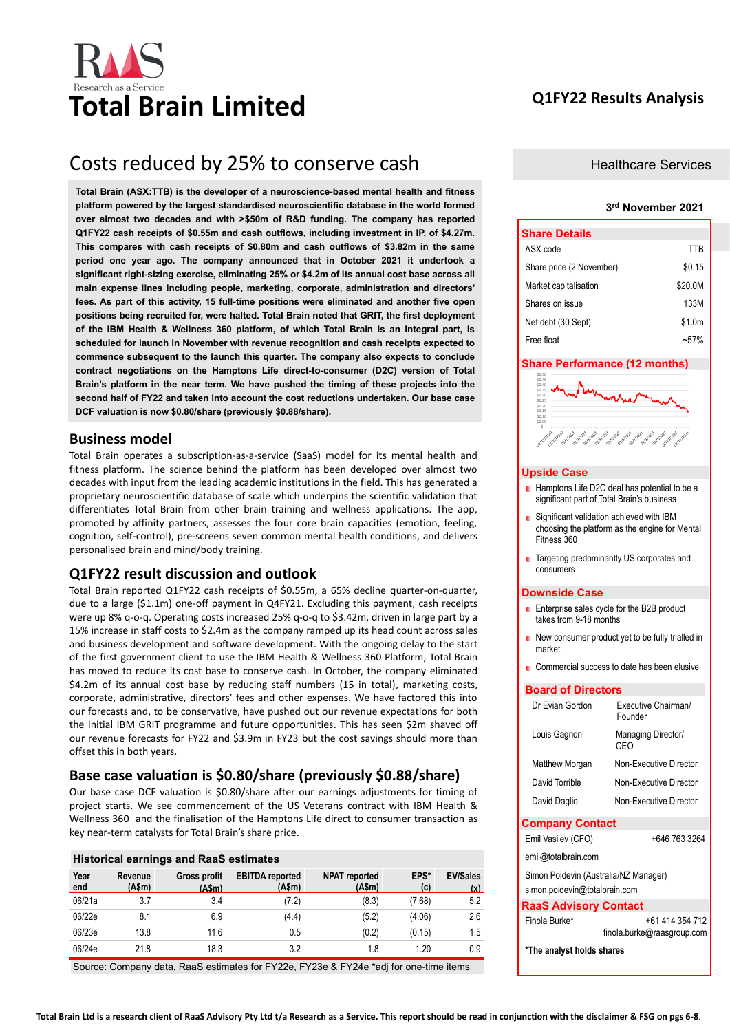# **Total Brain Limited Q1FY22 Results Analysis**

# Costs reduced by 25% to conserve cash

**Total Brain (ASX:TTB) is the developer of a neuroscience-based mental health and fitness platform powered by the largest standardised neuroscientific database in the world formed over almost two decades and with >\$50m of R&D funding. The company has reported Q1FY22 cash receipts of \$0.55m and cash outflows, including investment in IP, of \$4.27m. This compares with cash receipts of \$0.80m and cash outflows of \$3.82m in the same period one year ago. The company announced that in October 2021 it undertook a significant right-sizing exercise, eliminating 25% or \$4.2m of its annual cost base across all main expense lines including people, marketing, corporate, administration and directors' fees. As part of this activity, 15 full-time positions were eliminated and another five open positions being recruited for, were halted. Total Brain noted that GRIT, the first deployment of the IBM Health & Wellness 360 platform, of which Total Brain is an integral part, is scheduled for launch in November with revenue recognition and cash receipts expected to commence subsequent to the launch this quarter. The company also expects to conclude contract negotiations on the Hamptons Life direct-to-consumer (D2C) version of Total Brain's platform in the near term. We have pushed the timing of these projects into the second half of FY22 and taken into account the cost reductions undertaken. Our base case DCF valuation is now \$0.80/share (previously \$0.88/share).**

# **Business model**

Total Brain operates a subscription-as-a-service (SaaS) model for its mental health and fitness platform. The science behind the platform has been developed over almost two decades with input from the leading academic institutions in the field. This has generated a proprietary neuroscientific database of scale which underpins the scientific validation that differentiates Total Brain from other brain training and wellness applications. The app, promoted by affinity partners, assesses the four core brain capacities (emotion, feeling, cognition, self-control), pre-screens seven common mental health conditions, and delivers personalised brain and mind/body training.

# **Q1FY22 result discussion and outlook**

Total Brain reported Q1FY22 cash receipts of \$0.55m, a 65% decline quarter-on-quarter, due to a large (\$1.1m) one-off payment in Q4FY21. Excluding this payment, cash receipts were up 8% q-o-q. Operating costs increased 25% q-o-q to \$3.42m, driven in large part by a 15% increase in staff costs to \$2.4m as the company ramped up its head count across sales and business development and software development. With the ongoing delay to the start of the first government client to use the IBM Health & Wellness 360 Platform, Total Brain has moved to reduce its cost base to conserve cash. In October, the company eliminated \$4.2m of its annual cost base by reducing staff numbers (15 in total), marketing costs, corporate, administrative, directors' fees and other expenses. We have factored this into our forecasts and, to be conservative, have pushed out our revenue expectations for both the initial IBM GRIT programme and future opportunities. This has seen \$2m shaved off our revenue forecasts for FY22 and \$3.9m in FY23 but the cost savings should more than offset this in both years.

## **Base case valuation is \$0.80/share (previously \$0.88/share)**

Our base case DCF valuation is \$0.80/share after our earnings adjustments for timing of project starts. We see commencement of the US Veterans contract with IBM Health & Wellness 360 and the finalisation of the Hamptons Life direct to consumer transaction as key near-term catalysts for Total Brain's share price.

| <b>Historical earnings and RaaS estimates</b> |                   |                              |                                  |                                |             |                        |  |  |  |  |  |
|-----------------------------------------------|-------------------|------------------------------|----------------------------------|--------------------------------|-------------|------------------------|--|--|--|--|--|
| Year<br>end                                   | Revenue<br>(A\$m) | <b>Gross profit</b><br>(Asm) | <b>EBITDA</b> reported<br>(A\$m) | <b>NPAT</b> reported<br>(A\$m) | EPS*<br>(c) | <b>EV/Sales</b><br>(x) |  |  |  |  |  |
| 06/21a                                        | 3.7               | 3.4                          | (7.2)                            | (8.3)                          | (7.68)      | 5.2                    |  |  |  |  |  |
| 06/22e                                        | 8.1               | 6.9                          | (4.4)                            | (5.2)                          | (4.06)      | 2.6                    |  |  |  |  |  |
| 06/23e                                        | 13.8              | 11.6                         | 0.5                              | (0.2)                          | (0.15)      | 1.5                    |  |  |  |  |  |
| 06/24e                                        | 21.8              | 18.3                         | 3.2                              | 1.8                            | 1.20        | 0.9                    |  |  |  |  |  |

Source: Company data, RaaS estimates for FY22e, FY23e & FY24e \*adj for one-time items

### Healthcare Services

#### **3 rd November 2021**

| <b>Share Details</b>     |         |
|--------------------------|---------|
| ASX code                 | TTB     |
| Share price (2 November) | \$0.15  |
| Market capitalisation    | \$20.0M |
| Shares on issue          | 133M    |
| Net debt (30 Sept)       | \$1.0m  |
| Free float               | $-57$   |

#### **Share Performance (12 months)**



#### **Upside Case**

- Hamptons Life D2C deal has potential to be a significant part of Total Brain's business
- **B** Significant validation achieved with IBM choosing the platform as the engine for Mental Fitness 360
- Targeting predominantly US corporates and consumers

#### **Downside Case**

- **E** Enterprise sales cycle for the B2B product takes from 9-18 months
- New consumer product yet to be fully trialled in market
- Commercial success to date has been elusive

#### **Board of Directors**

| Dr Evian Gordon                                                        | Executive Chairman/<br>Founder                |
|------------------------------------------------------------------------|-----------------------------------------------|
| Louis Gagnon                                                           | Managing Director/<br>CFO                     |
| Matthew Morgan                                                         | Non-Executive Director                        |
| David Torrible                                                         | Non-Executive Director                        |
| David Daglio                                                           | Non-Executive Director                        |
| <b>Company Contact</b>                                                 |                                               |
| Emil Vasilev (CFO)                                                     | +646 763 3264                                 |
| emil@totalbrain.com                                                    |                                               |
| Simon Poidevin (Australia/NZ Manager)<br>simon.poidevin@totalbrain.com |                                               |
| <b>RaaS Advisory Contact</b>                                           |                                               |
| Finola Burke*                                                          | +61 414 354 712<br>finola.burke@raasgroup.com |
| *The analyst holds shares                                              |                                               |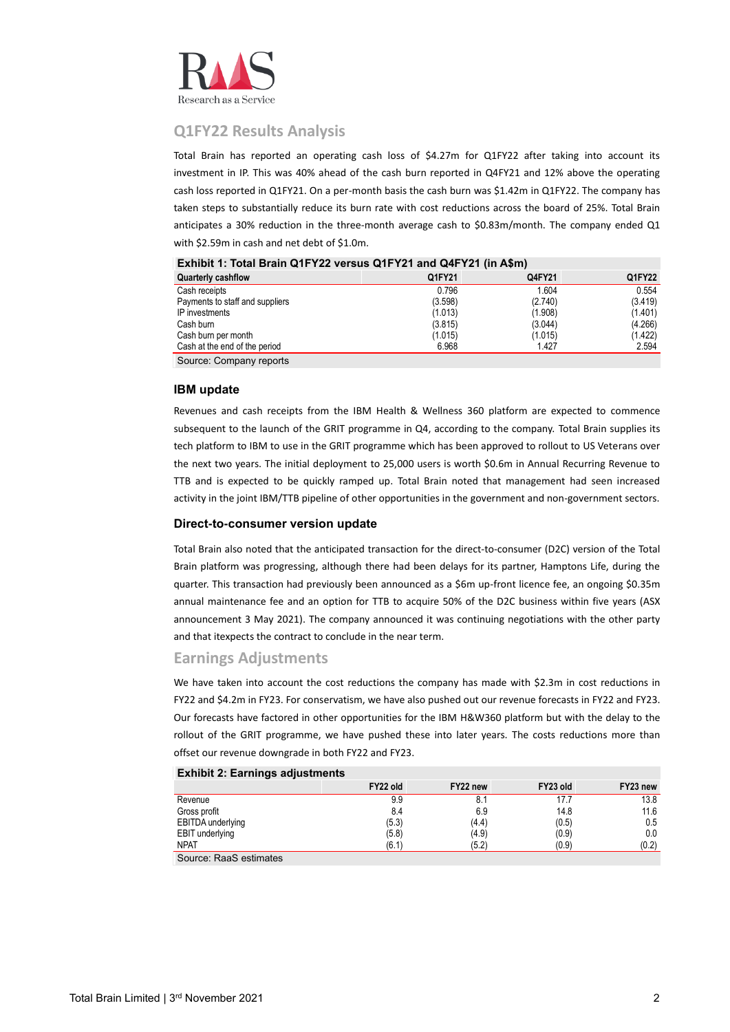

# **Q1FY22 Results Analysis**

Total Brain has reported an operating cash loss of \$4.27m for Q1FY22 after taking into account its investment in IP. This was 40% ahead of the cash burn reported in Q4FY21 and 12% above the operating cash loss reported in Q1FY21. On a per-month basis the cash burn was \$1.42m in Q1FY22. The company has taken steps to substantially reduce its burn rate with cost reductions across the board of 25%. Total Brain anticipates a 30% reduction in the three-month average cash to \$0.83m/month. The company ended Q1 with \$2.59m in cash and net debt of \$1.0m.

| <b>Quarterly cashflow</b>       | Q1FY21  | Q4FY21  | Q1FY22  |
|---------------------------------|---------|---------|---------|
| Cash receipts                   | 0.796   | 1.604   | 0.554   |
| Payments to staff and suppliers | (3.598) | (2.740) | (3.419) |
| IP investments                  | (1.013) | (1.908) | (1.401) |
| Cash burn                       | (3.815) | (3.044) | (4.266) |
| Cash burn per month             | (1.015) | (1.015) | (1.422) |
| Cash at the end of the period   | 6.968   | 1.427   | 2.594   |
| Source: Company reports         |         |         |         |

## **Exhibit 1: Total Brain Q1FY22 versus Q1FY21 and Q4FY21 (in A\$m)**

#### **IBM update**

Revenues and cash receipts from the IBM Health & Wellness 360 platform are expected to commence subsequent to the launch of the GRIT programme in Q4, according to the company. Total Brain supplies its tech platform to IBM to use in the GRIT programme which has been approved to rollout to US Veterans over the next two years. The initial deployment to 25,000 users is worth \$0.6m in Annual Recurring Revenue to TTB and is expected to be quickly ramped up. Total Brain noted that management had seen increased activity in the joint IBM/TTB pipeline of other opportunities in the government and non-government sectors.

#### **Direct-to-consumer version update**

Total Brain also noted that the anticipated transaction for the direct-to-consumer (D2C) version of the Total Brain platform was progressing, although there had been delays for its partner, Hamptons Life, during the quarter. This transaction had previously been announced as a \$6m up-front licence fee, an ongoing \$0.35m annual maintenance fee and an option for TTB to acquire 50% of the D2C business within five years (ASX announcement 3 May 2021). The company announced it was continuing negotiations with the other party and that itexpects the contract to conclude in the near term.

## **Earnings Adjustments**

We have taken into account the cost reductions the company has made with \$2.3m in cost reductions in FY22 and \$4.2m in FY23. For conservatism, we have also pushed out our revenue forecasts in FY22 and FY23. Our forecasts have factored in other opportunities for the IBM H&W360 platform but with the delay to the rollout of the GRIT programme, we have pushed these into later years. The costs reductions more than offset our revenue downgrade in both FY22 and FY23.

| $\mathsf{Exumpn}$ z. Earnings aujustinents |          |          |          |          |
|--------------------------------------------|----------|----------|----------|----------|
|                                            | FY22 old | FY22 new | FY23 old | FY23 new |
| Revenue                                    | 9.9      |          | 17.7     | 13.8     |
| Gross profit                               | 8.4      | 6.9      | 14.8     | 11.6     |
| EBITDA underlying                          | (5.3)    | (4.4)    | (0.5)    | 0.5      |
| EBIT underlying                            | (5.8)    | (4.9)    | (0.9)    | 0.0      |
| <b>NPAT</b>                                | (6.1)    | (5.2)    | (0.9)    | (0.2)    |

# **Exhibit 2: Earnings adjustments**

Source: RaaS estimates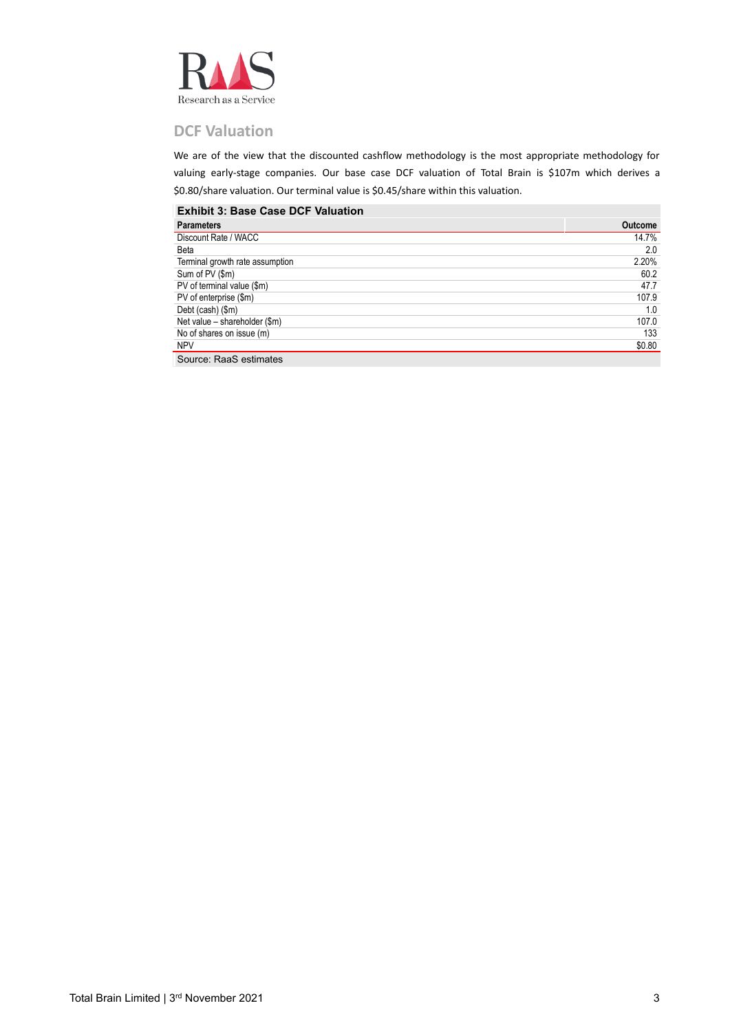

# **DCF Valuation**

We are of the view that the discounted cashflow methodology is the most appropriate methodology for valuing early-stage companies. Our base case DCF valuation of Total Brain is \$107m which derives a \$0.80/share valuation. Our terminal value is \$0.45/share within this valuation.

### **Exhibit 3: Base Case DCF Valuation**

| <b>Parameters</b>               | <b>Outcome</b> |
|---------------------------------|----------------|
| Discount Rate / WACC            | 14.7%          |
| Beta                            | 2.0            |
| Terminal growth rate assumption | 2.20%          |
| Sum of PV (\$m)                 | 60.2           |
| PV of terminal value (\$m)      | 47.7           |
| PV of enterprise (\$m)          | 107.9          |
| Debt (cash) (\$m)               | 1.0            |
| Net value - shareholder (\$m)   | 107.0          |
| No of shares on issue (m)       | 133            |
| <b>NPV</b>                      | \$0.80         |
| Source: RaaS estimates          |                |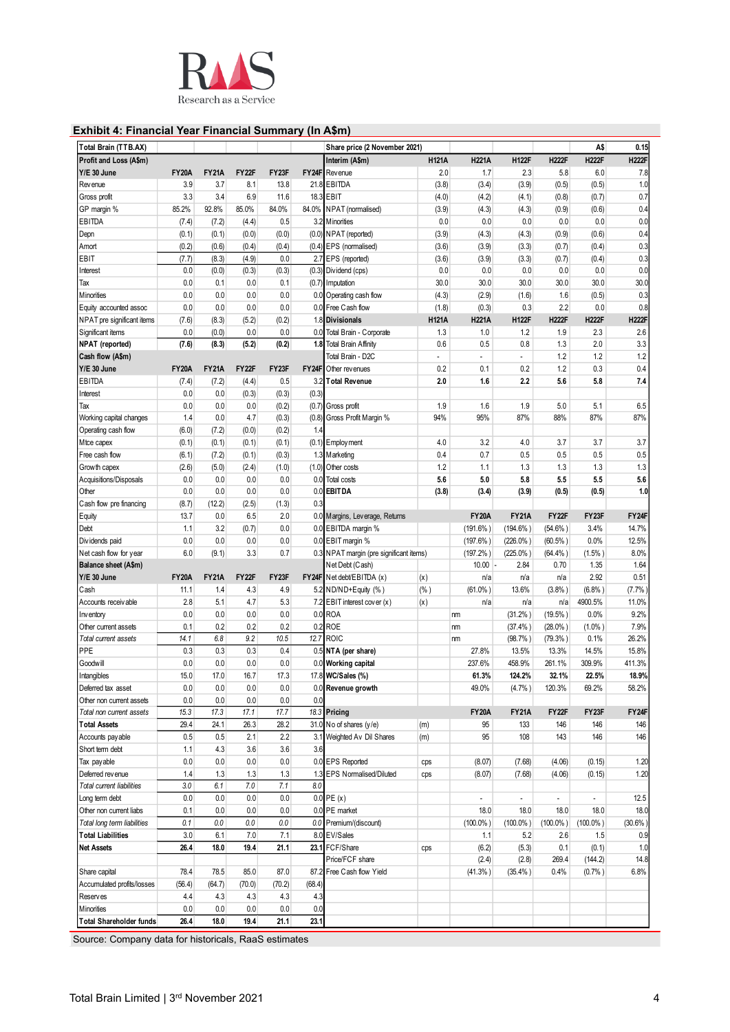

# **Exhibit 4: Financial Year Financial Summary (In A\$m)**

|              |                                                                                                                                                                                                                                                                                   |                                                                                                                                                                                                                                                                                     |                                                                                                                                                                                                                                                                           |                                                                                                                                                                                                                                                               | Share price (2 November 2021) |                                                                                                                                                                                                                                                                                                                                                                                                                                                                                                                                                                                                                                                                                                                                                                                                                                                                                                                                                                                                                                                                                                                                            |                                                                                                                                                                                                                              |                                                                                                                                                                                                                                                                                          |                                                                                                                                                                                                                                                                                                   | A\$                                                                                                                                                                                                                                                          | 0.15                                                                                                                                                                                                                                                                               |
|--------------|-----------------------------------------------------------------------------------------------------------------------------------------------------------------------------------------------------------------------------------------------------------------------------------|-------------------------------------------------------------------------------------------------------------------------------------------------------------------------------------------------------------------------------------------------------------------------------------|---------------------------------------------------------------------------------------------------------------------------------------------------------------------------------------------------------------------------------------------------------------------------|---------------------------------------------------------------------------------------------------------------------------------------------------------------------------------------------------------------------------------------------------------------|-------------------------------|--------------------------------------------------------------------------------------------------------------------------------------------------------------------------------------------------------------------------------------------------------------------------------------------------------------------------------------------------------------------------------------------------------------------------------------------------------------------------------------------------------------------------------------------------------------------------------------------------------------------------------------------------------------------------------------------------------------------------------------------------------------------------------------------------------------------------------------------------------------------------------------------------------------------------------------------------------------------------------------------------------------------------------------------------------------------------------------------------------------------------------------------|------------------------------------------------------------------------------------------------------------------------------------------------------------------------------------------------------------------------------|------------------------------------------------------------------------------------------------------------------------------------------------------------------------------------------------------------------------------------------------------------------------------------------|---------------------------------------------------------------------------------------------------------------------------------------------------------------------------------------------------------------------------------------------------------------------------------------------------|--------------------------------------------------------------------------------------------------------------------------------------------------------------------------------------------------------------------------------------------------------------|------------------------------------------------------------------------------------------------------------------------------------------------------------------------------------------------------------------------------------------------------------------------------------|
|              |                                                                                                                                                                                                                                                                                   |                                                                                                                                                                                                                                                                                     |                                                                                                                                                                                                                                                                           |                                                                                                                                                                                                                                                               | Interim (A\$m)                | <b>H121A</b>                                                                                                                                                                                                                                                                                                                                                                                                                                                                                                                                                                                                                                                                                                                                                                                                                                                                                                                                                                                                                                                                                                                               | <b>H221A</b>                                                                                                                                                                                                                 | <b>H122F</b>                                                                                                                                                                                                                                                                             | <b>H222F</b>                                                                                                                                                                                                                                                                                      | <b>H222F</b>                                                                                                                                                                                                                                                 | <b>H222F</b>                                                                                                                                                                                                                                                                       |
| <b>FY20A</b> | <b>FY21A</b>                                                                                                                                                                                                                                                                      | FY22F                                                                                                                                                                                                                                                                               | FY23F                                                                                                                                                                                                                                                                     |                                                                                                                                                                                                                                                               |                               | 2.0                                                                                                                                                                                                                                                                                                                                                                                                                                                                                                                                                                                                                                                                                                                                                                                                                                                                                                                                                                                                                                                                                                                                        | 1.7                                                                                                                                                                                                                          | 2.3                                                                                                                                                                                                                                                                                      | 5.8                                                                                                                                                                                                                                                                                               | 6.0                                                                                                                                                                                                                                                          | 7.8                                                                                                                                                                                                                                                                                |
| 3.9          | 3.7                                                                                                                                                                                                                                                                               | 8.1                                                                                                                                                                                                                                                                                 | 13.8                                                                                                                                                                                                                                                                      |                                                                                                                                                                                                                                                               |                               | (3.8)                                                                                                                                                                                                                                                                                                                                                                                                                                                                                                                                                                                                                                                                                                                                                                                                                                                                                                                                                                                                                                                                                                                                      | (3.4)                                                                                                                                                                                                                        | (3.9)                                                                                                                                                                                                                                                                                    | (0.5)                                                                                                                                                                                                                                                                                             | (0.5)                                                                                                                                                                                                                                                        | 1.0                                                                                                                                                                                                                                                                                |
| 3.3          | 3.4                                                                                                                                                                                                                                                                               | 6.9                                                                                                                                                                                                                                                                                 | 11.6                                                                                                                                                                                                                                                                      |                                                                                                                                                                                                                                                               |                               | (4.0)                                                                                                                                                                                                                                                                                                                                                                                                                                                                                                                                                                                                                                                                                                                                                                                                                                                                                                                                                                                                                                                                                                                                      | (4.2)                                                                                                                                                                                                                        | (4.1)                                                                                                                                                                                                                                                                                    | (0.8)                                                                                                                                                                                                                                                                                             | (0.7)                                                                                                                                                                                                                                                        | 0.7                                                                                                                                                                                                                                                                                |
| 85.2%        | 92.8%                                                                                                                                                                                                                                                                             | 85.0%                                                                                                                                                                                                                                                                               | 84.0%                                                                                                                                                                                                                                                                     |                                                                                                                                                                                                                                                               |                               |                                                                                                                                                                                                                                                                                                                                                                                                                                                                                                                                                                                                                                                                                                                                                                                                                                                                                                                                                                                                                                                                                                                                            |                                                                                                                                                                                                                              |                                                                                                                                                                                                                                                                                          |                                                                                                                                                                                                                                                                                                   |                                                                                                                                                                                                                                                              | 0.4                                                                                                                                                                                                                                                                                |
|              |                                                                                                                                                                                                                                                                                   |                                                                                                                                                                                                                                                                                     | 0.5                                                                                                                                                                                                                                                                       |                                                                                                                                                                                                                                                               |                               | 0.0                                                                                                                                                                                                                                                                                                                                                                                                                                                                                                                                                                                                                                                                                                                                                                                                                                                                                                                                                                                                                                                                                                                                        | 0.0                                                                                                                                                                                                                          | 0.0                                                                                                                                                                                                                                                                                      | 0.0                                                                                                                                                                                                                                                                                               | 0.0                                                                                                                                                                                                                                                          | 0.0                                                                                                                                                                                                                                                                                |
|              |                                                                                                                                                                                                                                                                                   |                                                                                                                                                                                                                                                                                     |                                                                                                                                                                                                                                                                           |                                                                                                                                                                                                                                                               |                               |                                                                                                                                                                                                                                                                                                                                                                                                                                                                                                                                                                                                                                                                                                                                                                                                                                                                                                                                                                                                                                                                                                                                            |                                                                                                                                                                                                                              |                                                                                                                                                                                                                                                                                          |                                                                                                                                                                                                                                                                                                   |                                                                                                                                                                                                                                                              | 0.4                                                                                                                                                                                                                                                                                |
|              |                                                                                                                                                                                                                                                                                   |                                                                                                                                                                                                                                                                                     |                                                                                                                                                                                                                                                                           |                                                                                                                                                                                                                                                               |                               |                                                                                                                                                                                                                                                                                                                                                                                                                                                                                                                                                                                                                                                                                                                                                                                                                                                                                                                                                                                                                                                                                                                                            |                                                                                                                                                                                                                              |                                                                                                                                                                                                                                                                                          |                                                                                                                                                                                                                                                                                                   |                                                                                                                                                                                                                                                              | 0.3                                                                                                                                                                                                                                                                                |
|              |                                                                                                                                                                                                                                                                                   |                                                                                                                                                                                                                                                                                     |                                                                                                                                                                                                                                                                           |                                                                                                                                                                                                                                                               |                               |                                                                                                                                                                                                                                                                                                                                                                                                                                                                                                                                                                                                                                                                                                                                                                                                                                                                                                                                                                                                                                                                                                                                            |                                                                                                                                                                                                                              |                                                                                                                                                                                                                                                                                          |                                                                                                                                                                                                                                                                                                   |                                                                                                                                                                                                                                                              | 0.3                                                                                                                                                                                                                                                                                |
|              |                                                                                                                                                                                                                                                                                   |                                                                                                                                                                                                                                                                                     |                                                                                                                                                                                                                                                                           |                                                                                                                                                                                                                                                               |                               |                                                                                                                                                                                                                                                                                                                                                                                                                                                                                                                                                                                                                                                                                                                                                                                                                                                                                                                                                                                                                                                                                                                                            |                                                                                                                                                                                                                              |                                                                                                                                                                                                                                                                                          |                                                                                                                                                                                                                                                                                                   |                                                                                                                                                                                                                                                              | 0.0                                                                                                                                                                                                                                                                                |
|              |                                                                                                                                                                                                                                                                                   |                                                                                                                                                                                                                                                                                     |                                                                                                                                                                                                                                                                           |                                                                                                                                                                                                                                                               |                               |                                                                                                                                                                                                                                                                                                                                                                                                                                                                                                                                                                                                                                                                                                                                                                                                                                                                                                                                                                                                                                                                                                                                            |                                                                                                                                                                                                                              |                                                                                                                                                                                                                                                                                          |                                                                                                                                                                                                                                                                                                   |                                                                                                                                                                                                                                                              | 30.0                                                                                                                                                                                                                                                                               |
|              |                                                                                                                                                                                                                                                                                   |                                                                                                                                                                                                                                                                                     |                                                                                                                                                                                                                                                                           |                                                                                                                                                                                                                                                               |                               |                                                                                                                                                                                                                                                                                                                                                                                                                                                                                                                                                                                                                                                                                                                                                                                                                                                                                                                                                                                                                                                                                                                                            |                                                                                                                                                                                                                              |                                                                                                                                                                                                                                                                                          |                                                                                                                                                                                                                                                                                                   |                                                                                                                                                                                                                                                              | 0.3                                                                                                                                                                                                                                                                                |
|              |                                                                                                                                                                                                                                                                                   |                                                                                                                                                                                                                                                                                     |                                                                                                                                                                                                                                                                           |                                                                                                                                                                                                                                                               |                               |                                                                                                                                                                                                                                                                                                                                                                                                                                                                                                                                                                                                                                                                                                                                                                                                                                                                                                                                                                                                                                                                                                                                            |                                                                                                                                                                                                                              |                                                                                                                                                                                                                                                                                          |                                                                                                                                                                                                                                                                                                   |                                                                                                                                                                                                                                                              | 0.8                                                                                                                                                                                                                                                                                |
|              |                                                                                                                                                                                                                                                                                   |                                                                                                                                                                                                                                                                                     |                                                                                                                                                                                                                                                                           |                                                                                                                                                                                                                                                               |                               |                                                                                                                                                                                                                                                                                                                                                                                                                                                                                                                                                                                                                                                                                                                                                                                                                                                                                                                                                                                                                                                                                                                                            |                                                                                                                                                                                                                              |                                                                                                                                                                                                                                                                                          |                                                                                                                                                                                                                                                                                                   |                                                                                                                                                                                                                                                              | <b>H222F</b>                                                                                                                                                                                                                                                                       |
|              |                                                                                                                                                                                                                                                                                   |                                                                                                                                                                                                                                                                                     |                                                                                                                                                                                                                                                                           |                                                                                                                                                                                                                                                               |                               |                                                                                                                                                                                                                                                                                                                                                                                                                                                                                                                                                                                                                                                                                                                                                                                                                                                                                                                                                                                                                                                                                                                                            |                                                                                                                                                                                                                              |                                                                                                                                                                                                                                                                                          |                                                                                                                                                                                                                                                                                                   |                                                                                                                                                                                                                                                              | 2.6                                                                                                                                                                                                                                                                                |
|              |                                                                                                                                                                                                                                                                                   |                                                                                                                                                                                                                                                                                     |                                                                                                                                                                                                                                                                           |                                                                                                                                                                                                                                                               |                               |                                                                                                                                                                                                                                                                                                                                                                                                                                                                                                                                                                                                                                                                                                                                                                                                                                                                                                                                                                                                                                                                                                                                            |                                                                                                                                                                                                                              |                                                                                                                                                                                                                                                                                          |                                                                                                                                                                                                                                                                                                   |                                                                                                                                                                                                                                                              | 3.3                                                                                                                                                                                                                                                                                |
|              |                                                                                                                                                                                                                                                                                   |                                                                                                                                                                                                                                                                                     |                                                                                                                                                                                                                                                                           |                                                                                                                                                                                                                                                               |                               |                                                                                                                                                                                                                                                                                                                                                                                                                                                                                                                                                                                                                                                                                                                                                                                                                                                                                                                                                                                                                                                                                                                                            |                                                                                                                                                                                                                              |                                                                                                                                                                                                                                                                                          |                                                                                                                                                                                                                                                                                                   |                                                                                                                                                                                                                                                              | 1.2                                                                                                                                                                                                                                                                                |
|              |                                                                                                                                                                                                                                                                                   |                                                                                                                                                                                                                                                                                     |                                                                                                                                                                                                                                                                           |                                                                                                                                                                                                                                                               |                               |                                                                                                                                                                                                                                                                                                                                                                                                                                                                                                                                                                                                                                                                                                                                                                                                                                                                                                                                                                                                                                                                                                                                            |                                                                                                                                                                                                                              |                                                                                                                                                                                                                                                                                          |                                                                                                                                                                                                                                                                                                   |                                                                                                                                                                                                                                                              |                                                                                                                                                                                                                                                                                    |
|              |                                                                                                                                                                                                                                                                                   |                                                                                                                                                                                                                                                                                     |                                                                                                                                                                                                                                                                           |                                                                                                                                                                                                                                                               |                               |                                                                                                                                                                                                                                                                                                                                                                                                                                                                                                                                                                                                                                                                                                                                                                                                                                                                                                                                                                                                                                                                                                                                            |                                                                                                                                                                                                                              |                                                                                                                                                                                                                                                                                          |                                                                                                                                                                                                                                                                                                   |                                                                                                                                                                                                                                                              | 0.4                                                                                                                                                                                                                                                                                |
|              |                                                                                                                                                                                                                                                                                   |                                                                                                                                                                                                                                                                                     |                                                                                                                                                                                                                                                                           |                                                                                                                                                                                                                                                               |                               |                                                                                                                                                                                                                                                                                                                                                                                                                                                                                                                                                                                                                                                                                                                                                                                                                                                                                                                                                                                                                                                                                                                                            |                                                                                                                                                                                                                              |                                                                                                                                                                                                                                                                                          |                                                                                                                                                                                                                                                                                                   |                                                                                                                                                                                                                                                              | 7.4                                                                                                                                                                                                                                                                                |
|              |                                                                                                                                                                                                                                                                                   |                                                                                                                                                                                                                                                                                     |                                                                                                                                                                                                                                                                           |                                                                                                                                                                                                                                                               |                               |                                                                                                                                                                                                                                                                                                                                                                                                                                                                                                                                                                                                                                                                                                                                                                                                                                                                                                                                                                                                                                                                                                                                            |                                                                                                                                                                                                                              |                                                                                                                                                                                                                                                                                          |                                                                                                                                                                                                                                                                                                   |                                                                                                                                                                                                                                                              |                                                                                                                                                                                                                                                                                    |
|              |                                                                                                                                                                                                                                                                                   |                                                                                                                                                                                                                                                                                     |                                                                                                                                                                                                                                                                           |                                                                                                                                                                                                                                                               |                               |                                                                                                                                                                                                                                                                                                                                                                                                                                                                                                                                                                                                                                                                                                                                                                                                                                                                                                                                                                                                                                                                                                                                            |                                                                                                                                                                                                                              |                                                                                                                                                                                                                                                                                          |                                                                                                                                                                                                                                                                                                   |                                                                                                                                                                                                                                                              | 6.5                                                                                                                                                                                                                                                                                |
|              |                                                                                                                                                                                                                                                                                   |                                                                                                                                                                                                                                                                                     |                                                                                                                                                                                                                                                                           |                                                                                                                                                                                                                                                               |                               |                                                                                                                                                                                                                                                                                                                                                                                                                                                                                                                                                                                                                                                                                                                                                                                                                                                                                                                                                                                                                                                                                                                                            |                                                                                                                                                                                                                              |                                                                                                                                                                                                                                                                                          |                                                                                                                                                                                                                                                                                                   |                                                                                                                                                                                                                                                              | 87%                                                                                                                                                                                                                                                                                |
|              |                                                                                                                                                                                                                                                                                   |                                                                                                                                                                                                                                                                                     |                                                                                                                                                                                                                                                                           |                                                                                                                                                                                                                                                               |                               |                                                                                                                                                                                                                                                                                                                                                                                                                                                                                                                                                                                                                                                                                                                                                                                                                                                                                                                                                                                                                                                                                                                                            |                                                                                                                                                                                                                              |                                                                                                                                                                                                                                                                                          |                                                                                                                                                                                                                                                                                                   |                                                                                                                                                                                                                                                              |                                                                                                                                                                                                                                                                                    |
| (0.1)        | (0.1)                                                                                                                                                                                                                                                                             | (0.1)                                                                                                                                                                                                                                                                               | (0.1)                                                                                                                                                                                                                                                                     |                                                                                                                                                                                                                                                               |                               | 4.0                                                                                                                                                                                                                                                                                                                                                                                                                                                                                                                                                                                                                                                                                                                                                                                                                                                                                                                                                                                                                                                                                                                                        |                                                                                                                                                                                                                              |                                                                                                                                                                                                                                                                                          | 3.7                                                                                                                                                                                                                                                                                               | 3.7                                                                                                                                                                                                                                                          | 3.7                                                                                                                                                                                                                                                                                |
| (6.1)        | (7.2)                                                                                                                                                                                                                                                                             | (0.1)                                                                                                                                                                                                                                                                               | (0.3)                                                                                                                                                                                                                                                                     |                                                                                                                                                                                                                                                               |                               | 0.4                                                                                                                                                                                                                                                                                                                                                                                                                                                                                                                                                                                                                                                                                                                                                                                                                                                                                                                                                                                                                                                                                                                                        | 0.7                                                                                                                                                                                                                          |                                                                                                                                                                                                                                                                                          | 0.5                                                                                                                                                                                                                                                                                               |                                                                                                                                                                                                                                                              | 0.5                                                                                                                                                                                                                                                                                |
| (2.6)        | (5.0)                                                                                                                                                                                                                                                                             | (2.4)                                                                                                                                                                                                                                                                               | (1.0)                                                                                                                                                                                                                                                                     |                                                                                                                                                                                                                                                               |                               | 1.2                                                                                                                                                                                                                                                                                                                                                                                                                                                                                                                                                                                                                                                                                                                                                                                                                                                                                                                                                                                                                                                                                                                                        | 1.1                                                                                                                                                                                                                          | 1.3                                                                                                                                                                                                                                                                                      | 1.3                                                                                                                                                                                                                                                                                               | 1.3                                                                                                                                                                                                                                                          | 1.3                                                                                                                                                                                                                                                                                |
| 0.0          | 0.0                                                                                                                                                                                                                                                                               | 0.0                                                                                                                                                                                                                                                                                 | 0.0                                                                                                                                                                                                                                                                       |                                                                                                                                                                                                                                                               |                               | 5.6                                                                                                                                                                                                                                                                                                                                                                                                                                                                                                                                                                                                                                                                                                                                                                                                                                                                                                                                                                                                                                                                                                                                        | 5.0                                                                                                                                                                                                                          | 5.8                                                                                                                                                                                                                                                                                      | 5.5                                                                                                                                                                                                                                                                                               | 5.5                                                                                                                                                                                                                                                          | 5.6                                                                                                                                                                                                                                                                                |
| 0.0          | 0.0                                                                                                                                                                                                                                                                               | 0.0                                                                                                                                                                                                                                                                                 | 0.0                                                                                                                                                                                                                                                                       |                                                                                                                                                                                                                                                               |                               | (3.8)                                                                                                                                                                                                                                                                                                                                                                                                                                                                                                                                                                                                                                                                                                                                                                                                                                                                                                                                                                                                                                                                                                                                      | (3.4)                                                                                                                                                                                                                        | (3.9)                                                                                                                                                                                                                                                                                    | (0.5)                                                                                                                                                                                                                                                                                             | (0.5)                                                                                                                                                                                                                                                        | 1.0                                                                                                                                                                                                                                                                                |
| (8.7)        | (12.2)                                                                                                                                                                                                                                                                            | (2.5)                                                                                                                                                                                                                                                                               | (1.3)                                                                                                                                                                                                                                                                     |                                                                                                                                                                                                                                                               |                               |                                                                                                                                                                                                                                                                                                                                                                                                                                                                                                                                                                                                                                                                                                                                                                                                                                                                                                                                                                                                                                                                                                                                            |                                                                                                                                                                                                                              |                                                                                                                                                                                                                                                                                          |                                                                                                                                                                                                                                                                                                   |                                                                                                                                                                                                                                                              |                                                                                                                                                                                                                                                                                    |
| 13.7         | 0.0                                                                                                                                                                                                                                                                               | 6.5                                                                                                                                                                                                                                                                                 | 2.0                                                                                                                                                                                                                                                                       |                                                                                                                                                                                                                                                               |                               |                                                                                                                                                                                                                                                                                                                                                                                                                                                                                                                                                                                                                                                                                                                                                                                                                                                                                                                                                                                                                                                                                                                                            | <b>FY20A</b>                                                                                                                                                                                                                 | <b>FY21A</b>                                                                                                                                                                                                                                                                             | FY22F                                                                                                                                                                                                                                                                                             | FY23F                                                                                                                                                                                                                                                        | FY24F                                                                                                                                                                                                                                                                              |
| 1.1          | 3.2                                                                                                                                                                                                                                                                               | (0.7)                                                                                                                                                                                                                                                                               | 0.0                                                                                                                                                                                                                                                                       |                                                                                                                                                                                                                                                               |                               |                                                                                                                                                                                                                                                                                                                                                                                                                                                                                                                                                                                                                                                                                                                                                                                                                                                                                                                                                                                                                                                                                                                                            | $(191.6\%)$                                                                                                                                                                                                                  | $(194.6\%)$                                                                                                                                                                                                                                                                              | $(54.6\%)$                                                                                                                                                                                                                                                                                        | 3.4%                                                                                                                                                                                                                                                         | 14.7%                                                                                                                                                                                                                                                                              |
| 0.0          | 0.0                                                                                                                                                                                                                                                                               | 0.0                                                                                                                                                                                                                                                                                 | 0.0                                                                                                                                                                                                                                                                       |                                                                                                                                                                                                                                                               |                               |                                                                                                                                                                                                                                                                                                                                                                                                                                                                                                                                                                                                                                                                                                                                                                                                                                                                                                                                                                                                                                                                                                                                            | $(197.6\%)$                                                                                                                                                                                                                  | $(226.0\%)$                                                                                                                                                                                                                                                                              | $(60.5\%)$                                                                                                                                                                                                                                                                                        | 0.0%                                                                                                                                                                                                                                                         | 12.5%                                                                                                                                                                                                                                                                              |
| 6.0          | (9.1)                                                                                                                                                                                                                                                                             | 3.3                                                                                                                                                                                                                                                                                 | 0.7                                                                                                                                                                                                                                                                       |                                                                                                                                                                                                                                                               |                               |                                                                                                                                                                                                                                                                                                                                                                                                                                                                                                                                                                                                                                                                                                                                                                                                                                                                                                                                                                                                                                                                                                                                            |                                                                                                                                                                                                                              | $(225.0\%)$                                                                                                                                                                                                                                                                              | $(64.4\%)$                                                                                                                                                                                                                                                                                        |                                                                                                                                                                                                                                                              | 8.0%                                                                                                                                                                                                                                                                               |
|              |                                                                                                                                                                                                                                                                                   |                                                                                                                                                                                                                                                                                     |                                                                                                                                                                                                                                                                           |                                                                                                                                                                                                                                                               |                               |                                                                                                                                                                                                                                                                                                                                                                                                                                                                                                                                                                                                                                                                                                                                                                                                                                                                                                                                                                                                                                                                                                                                            |                                                                                                                                                                                                                              | 2.84                                                                                                                                                                                                                                                                                     | 0.70                                                                                                                                                                                                                                                                                              |                                                                                                                                                                                                                                                              | 1.64                                                                                                                                                                                                                                                                               |
|              |                                                                                                                                                                                                                                                                                   |                                                                                                                                                                                                                                                                                     |                                                                                                                                                                                                                                                                           |                                                                                                                                                                                                                                                               |                               |                                                                                                                                                                                                                                                                                                                                                                                                                                                                                                                                                                                                                                                                                                                                                                                                                                                                                                                                                                                                                                                                                                                                            |                                                                                                                                                                                                                              |                                                                                                                                                                                                                                                                                          |                                                                                                                                                                                                                                                                                                   |                                                                                                                                                                                                                                                              | 0.51                                                                                                                                                                                                                                                                               |
|              |                                                                                                                                                                                                                                                                                   |                                                                                                                                                                                                                                                                                     |                                                                                                                                                                                                                                                                           |                                                                                                                                                                                                                                                               |                               |                                                                                                                                                                                                                                                                                                                                                                                                                                                                                                                                                                                                                                                                                                                                                                                                                                                                                                                                                                                                                                                                                                                                            |                                                                                                                                                                                                                              |                                                                                                                                                                                                                                                                                          |                                                                                                                                                                                                                                                                                                   |                                                                                                                                                                                                                                                              | (7.7%                                                                                                                                                                                                                                                                              |
|              |                                                                                                                                                                                                                                                                                   |                                                                                                                                                                                                                                                                                     |                                                                                                                                                                                                                                                                           |                                                                                                                                                                                                                                                               |                               |                                                                                                                                                                                                                                                                                                                                                                                                                                                                                                                                                                                                                                                                                                                                                                                                                                                                                                                                                                                                                                                                                                                                            |                                                                                                                                                                                                                              |                                                                                                                                                                                                                                                                                          |                                                                                                                                                                                                                                                                                                   |                                                                                                                                                                                                                                                              | 11.0%                                                                                                                                                                                                                                                                              |
|              |                                                                                                                                                                                                                                                                                   |                                                                                                                                                                                                                                                                                     |                                                                                                                                                                                                                                                                           |                                                                                                                                                                                                                                                               |                               |                                                                                                                                                                                                                                                                                                                                                                                                                                                                                                                                                                                                                                                                                                                                                                                                                                                                                                                                                                                                                                                                                                                                            |                                                                                                                                                                                                                              |                                                                                                                                                                                                                                                                                          |                                                                                                                                                                                                                                                                                                   |                                                                                                                                                                                                                                                              | 9.2%                                                                                                                                                                                                                                                                               |
|              |                                                                                                                                                                                                                                                                                   |                                                                                                                                                                                                                                                                                     |                                                                                                                                                                                                                                                                           |                                                                                                                                                                                                                                                               |                               |                                                                                                                                                                                                                                                                                                                                                                                                                                                                                                                                                                                                                                                                                                                                                                                                                                                                                                                                                                                                                                                                                                                                            |                                                                                                                                                                                                                              |                                                                                                                                                                                                                                                                                          |                                                                                                                                                                                                                                                                                                   |                                                                                                                                                                                                                                                              | 7.9%                                                                                                                                                                                                                                                                               |
|              |                                                                                                                                                                                                                                                                                   |                                                                                                                                                                                                                                                                                     |                                                                                                                                                                                                                                                                           |                                                                                                                                                                                                                                                               |                               |                                                                                                                                                                                                                                                                                                                                                                                                                                                                                                                                                                                                                                                                                                                                                                                                                                                                                                                                                                                                                                                                                                                                            |                                                                                                                                                                                                                              |                                                                                                                                                                                                                                                                                          |                                                                                                                                                                                                                                                                                                   |                                                                                                                                                                                                                                                              | 26.2%                                                                                                                                                                                                                                                                              |
|              |                                                                                                                                                                                                                                                                                   |                                                                                                                                                                                                                                                                                     |                                                                                                                                                                                                                                                                           |                                                                                                                                                                                                                                                               |                               |                                                                                                                                                                                                                                                                                                                                                                                                                                                                                                                                                                                                                                                                                                                                                                                                                                                                                                                                                                                                                                                                                                                                            |                                                                                                                                                                                                                              |                                                                                                                                                                                                                                                                                          |                                                                                                                                                                                                                                                                                                   |                                                                                                                                                                                                                                                              | 15.8%                                                                                                                                                                                                                                                                              |
|              |                                                                                                                                                                                                                                                                                   |                                                                                                                                                                                                                                                                                     |                                                                                                                                                                                                                                                                           |                                                                                                                                                                                                                                                               |                               |                                                                                                                                                                                                                                                                                                                                                                                                                                                                                                                                                                                                                                                                                                                                                                                                                                                                                                                                                                                                                                                                                                                                            |                                                                                                                                                                                                                              |                                                                                                                                                                                                                                                                                          |                                                                                                                                                                                                                                                                                                   |                                                                                                                                                                                                                                                              | 411.3%                                                                                                                                                                                                                                                                             |
|              |                                                                                                                                                                                                                                                                                   |                                                                                                                                                                                                                                                                                     |                                                                                                                                                                                                                                                                           |                                                                                                                                                                                                                                                               |                               |                                                                                                                                                                                                                                                                                                                                                                                                                                                                                                                                                                                                                                                                                                                                                                                                                                                                                                                                                                                                                                                                                                                                            |                                                                                                                                                                                                                              |                                                                                                                                                                                                                                                                                          |                                                                                                                                                                                                                                                                                                   |                                                                                                                                                                                                                                                              |                                                                                                                                                                                                                                                                                    |
|              |                                                                                                                                                                                                                                                                                   |                                                                                                                                                                                                                                                                                     |                                                                                                                                                                                                                                                                           |                                                                                                                                                                                                                                                               |                               |                                                                                                                                                                                                                                                                                                                                                                                                                                                                                                                                                                                                                                                                                                                                                                                                                                                                                                                                                                                                                                                                                                                                            |                                                                                                                                                                                                                              |                                                                                                                                                                                                                                                                                          |                                                                                                                                                                                                                                                                                                   |                                                                                                                                                                                                                                                              | 18.9%                                                                                                                                                                                                                                                                              |
|              |                                                                                                                                                                                                                                                                                   |                                                                                                                                                                                                                                                                                     |                                                                                                                                                                                                                                                                           |                                                                                                                                                                                                                                                               |                               |                                                                                                                                                                                                                                                                                                                                                                                                                                                                                                                                                                                                                                                                                                                                                                                                                                                                                                                                                                                                                                                                                                                                            |                                                                                                                                                                                                                              |                                                                                                                                                                                                                                                                                          |                                                                                                                                                                                                                                                                                                   |                                                                                                                                                                                                                                                              | 58.2%                                                                                                                                                                                                                                                                              |
|              |                                                                                                                                                                                                                                                                                   |                                                                                                                                                                                                                                                                                     |                                                                                                                                                                                                                                                                           |                                                                                                                                                                                                                                                               |                               |                                                                                                                                                                                                                                                                                                                                                                                                                                                                                                                                                                                                                                                                                                                                                                                                                                                                                                                                                                                                                                                                                                                                            |                                                                                                                                                                                                                              |                                                                                                                                                                                                                                                                                          |                                                                                                                                                                                                                                                                                                   |                                                                                                                                                                                                                                                              |                                                                                                                                                                                                                                                                                    |
|              |                                                                                                                                                                                                                                                                                   |                                                                                                                                                                                                                                                                                     |                                                                                                                                                                                                                                                                           |                                                                                                                                                                                                                                                               |                               |                                                                                                                                                                                                                                                                                                                                                                                                                                                                                                                                                                                                                                                                                                                                                                                                                                                                                                                                                                                                                                                                                                                                            |                                                                                                                                                                                                                              |                                                                                                                                                                                                                                                                                          |                                                                                                                                                                                                                                                                                                   |                                                                                                                                                                                                                                                              | FY24F                                                                                                                                                                                                                                                                              |
|              |                                                                                                                                                                                                                                                                                   |                                                                                                                                                                                                                                                                                     |                                                                                                                                                                                                                                                                           |                                                                                                                                                                                                                                                               |                               |                                                                                                                                                                                                                                                                                                                                                                                                                                                                                                                                                                                                                                                                                                                                                                                                                                                                                                                                                                                                                                                                                                                                            |                                                                                                                                                                                                                              |                                                                                                                                                                                                                                                                                          |                                                                                                                                                                                                                                                                                                   |                                                                                                                                                                                                                                                              | 146                                                                                                                                                                                                                                                                                |
|              |                                                                                                                                                                                                                                                                                   |                                                                                                                                                                                                                                                                                     |                                                                                                                                                                                                                                                                           |                                                                                                                                                                                                                                                               |                               |                                                                                                                                                                                                                                                                                                                                                                                                                                                                                                                                                                                                                                                                                                                                                                                                                                                                                                                                                                                                                                                                                                                                            |                                                                                                                                                                                                                              |                                                                                                                                                                                                                                                                                          |                                                                                                                                                                                                                                                                                                   |                                                                                                                                                                                                                                                              | 146                                                                                                                                                                                                                                                                                |
|              |                                                                                                                                                                                                                                                                                   |                                                                                                                                                                                                                                                                                     |                                                                                                                                                                                                                                                                           |                                                                                                                                                                                                                                                               |                               |                                                                                                                                                                                                                                                                                                                                                                                                                                                                                                                                                                                                                                                                                                                                                                                                                                                                                                                                                                                                                                                                                                                                            |                                                                                                                                                                                                                              |                                                                                                                                                                                                                                                                                          |                                                                                                                                                                                                                                                                                                   |                                                                                                                                                                                                                                                              |                                                                                                                                                                                                                                                                                    |
|              |                                                                                                                                                                                                                                                                                   |                                                                                                                                                                                                                                                                                     |                                                                                                                                                                                                                                                                           |                                                                                                                                                                                                                                                               |                               | cps                                                                                                                                                                                                                                                                                                                                                                                                                                                                                                                                                                                                                                                                                                                                                                                                                                                                                                                                                                                                                                                                                                                                        | (8.07)                                                                                                                                                                                                                       | (7.68)                                                                                                                                                                                                                                                                                   | (4.06)                                                                                                                                                                                                                                                                                            | (0.15)                                                                                                                                                                                                                                                       | 1.20                                                                                                                                                                                                                                                                               |
|              |                                                                                                                                                                                                                                                                                   |                                                                                                                                                                                                                                                                                     |                                                                                                                                                                                                                                                                           |                                                                                                                                                                                                                                                               |                               | cps                                                                                                                                                                                                                                                                                                                                                                                                                                                                                                                                                                                                                                                                                                                                                                                                                                                                                                                                                                                                                                                                                                                                        | (8.07)                                                                                                                                                                                                                       |                                                                                                                                                                                                                                                                                          | (4.06)                                                                                                                                                                                                                                                                                            | (0.15)                                                                                                                                                                                                                                                       | 1.20                                                                                                                                                                                                                                                                               |
| 3.0          | 6.1                                                                                                                                                                                                                                                                               | 7.0                                                                                                                                                                                                                                                                                 | 7.1                                                                                                                                                                                                                                                                       |                                                                                                                                                                                                                                                               |                               |                                                                                                                                                                                                                                                                                                                                                                                                                                                                                                                                                                                                                                                                                                                                                                                                                                                                                                                                                                                                                                                                                                                                            |                                                                                                                                                                                                                              |                                                                                                                                                                                                                                                                                          |                                                                                                                                                                                                                                                                                                   |                                                                                                                                                                                                                                                              |                                                                                                                                                                                                                                                                                    |
| 0.0          | 0.0                                                                                                                                                                                                                                                                               | 0.0                                                                                                                                                                                                                                                                                 | 0.0                                                                                                                                                                                                                                                                       |                                                                                                                                                                                                                                                               |                               |                                                                                                                                                                                                                                                                                                                                                                                                                                                                                                                                                                                                                                                                                                                                                                                                                                                                                                                                                                                                                                                                                                                                            |                                                                                                                                                                                                                              |                                                                                                                                                                                                                                                                                          |                                                                                                                                                                                                                                                                                                   |                                                                                                                                                                                                                                                              | 12.5                                                                                                                                                                                                                                                                               |
| 0.1          | 0.0                                                                                                                                                                                                                                                                               | 0.0                                                                                                                                                                                                                                                                                 | 0.0                                                                                                                                                                                                                                                                       |                                                                                                                                                                                                                                                               |                               |                                                                                                                                                                                                                                                                                                                                                                                                                                                                                                                                                                                                                                                                                                                                                                                                                                                                                                                                                                                                                                                                                                                                            | 18.0                                                                                                                                                                                                                         | 18.0                                                                                                                                                                                                                                                                                     | 18.0                                                                                                                                                                                                                                                                                              | 18.0                                                                                                                                                                                                                                                         | 18.0                                                                                                                                                                                                                                                                               |
| 0.1          | 0.0                                                                                                                                                                                                                                                                               | $0.0\,$                                                                                                                                                                                                                                                                             | $0.0\,$                                                                                                                                                                                                                                                                   |                                                                                                                                                                                                                                                               |                               |                                                                                                                                                                                                                                                                                                                                                                                                                                                                                                                                                                                                                                                                                                                                                                                                                                                                                                                                                                                                                                                                                                                                            | $(100.0\%)$                                                                                                                                                                                                                  | $(100.0\%)$                                                                                                                                                                                                                                                                              | $(100.0\%)$                                                                                                                                                                                                                                                                                       | $(100.0\%)$                                                                                                                                                                                                                                                  | (30.6%                                                                                                                                                                                                                                                                             |
| 3.0          | 6.1                                                                                                                                                                                                                                                                               | 7.0                                                                                                                                                                                                                                                                                 | 7.1                                                                                                                                                                                                                                                                       |                                                                                                                                                                                                                                                               |                               |                                                                                                                                                                                                                                                                                                                                                                                                                                                                                                                                                                                                                                                                                                                                                                                                                                                                                                                                                                                                                                                                                                                                            | 1.1                                                                                                                                                                                                                          | 5.2                                                                                                                                                                                                                                                                                      | 2.6                                                                                                                                                                                                                                                                                               | 1.5                                                                                                                                                                                                                                                          | 0.9                                                                                                                                                                                                                                                                                |
| 26.4         | 18.0                                                                                                                                                                                                                                                                              | 19.4                                                                                                                                                                                                                                                                                | 21.1                                                                                                                                                                                                                                                                      |                                                                                                                                                                                                                                                               | 23.1 FCF/Share                | cps                                                                                                                                                                                                                                                                                                                                                                                                                                                                                                                                                                                                                                                                                                                                                                                                                                                                                                                                                                                                                                                                                                                                        | (6.2)                                                                                                                                                                                                                        | (5.3)                                                                                                                                                                                                                                                                                    | 0.1                                                                                                                                                                                                                                                                                               | (0.1)                                                                                                                                                                                                                                                        | 1.0                                                                                                                                                                                                                                                                                |
|              |                                                                                                                                                                                                                                                                                   |                                                                                                                                                                                                                                                                                     |                                                                                                                                                                                                                                                                           |                                                                                                                                                                                                                                                               | Price/FCF share               |                                                                                                                                                                                                                                                                                                                                                                                                                                                                                                                                                                                                                                                                                                                                                                                                                                                                                                                                                                                                                                                                                                                                            | (2.4)                                                                                                                                                                                                                        | (2.8)                                                                                                                                                                                                                                                                                    | 269.4                                                                                                                                                                                                                                                                                             | (144.2)                                                                                                                                                                                                                                                      | 14.8                                                                                                                                                                                                                                                                               |
|              | 78.5                                                                                                                                                                                                                                                                              | 85.0                                                                                                                                                                                                                                                                                | 87.0                                                                                                                                                                                                                                                                      |                                                                                                                                                                                                                                                               | 87.2 Free Cash flow Yield     |                                                                                                                                                                                                                                                                                                                                                                                                                                                                                                                                                                                                                                                                                                                                                                                                                                                                                                                                                                                                                                                                                                                                            | $(41.3\%)$                                                                                                                                                                                                                   | (35.4%)                                                                                                                                                                                                                                                                                  | 0.4%                                                                                                                                                                                                                                                                                              | $(0.7%$ )                                                                                                                                                                                                                                                    | 6.8%                                                                                                                                                                                                                                                                               |
| 78.4         |                                                                                                                                                                                                                                                                                   |                                                                                                                                                                                                                                                                                     |                                                                                                                                                                                                                                                                           |                                                                                                                                                                                                                                                               |                               |                                                                                                                                                                                                                                                                                                                                                                                                                                                                                                                                                                                                                                                                                                                                                                                                                                                                                                                                                                                                                                                                                                                                            |                                                                                                                                                                                                                              |                                                                                                                                                                                                                                                                                          |                                                                                                                                                                                                                                                                                                   |                                                                                                                                                                                                                                                              |                                                                                                                                                                                                                                                                                    |
| (56.4)       | (64.7)                                                                                                                                                                                                                                                                            | (70.0)                                                                                                                                                                                                                                                                              | (70.2)                                                                                                                                                                                                                                                                    | (68.4)                                                                                                                                                                                                                                                        |                               |                                                                                                                                                                                                                                                                                                                                                                                                                                                                                                                                                                                                                                                                                                                                                                                                                                                                                                                                                                                                                                                                                                                                            |                                                                                                                                                                                                                              |                                                                                                                                                                                                                                                                                          |                                                                                                                                                                                                                                                                                                   |                                                                                                                                                                                                                                                              |                                                                                                                                                                                                                                                                                    |
| 4.4          | 4.3                                                                                                                                                                                                                                                                               | 4.3                                                                                                                                                                                                                                                                                 | 4.3                                                                                                                                                                                                                                                                       | 4.3                                                                                                                                                                                                                                                           |                               |                                                                                                                                                                                                                                                                                                                                                                                                                                                                                                                                                                                                                                                                                                                                                                                                                                                                                                                                                                                                                                                                                                                                            |                                                                                                                                                                                                                              |                                                                                                                                                                                                                                                                                          |                                                                                                                                                                                                                                                                                                   |                                                                                                                                                                                                                                                              |                                                                                                                                                                                                                                                                                    |
| 0.0          | 0.0                                                                                                                                                                                                                                                                               | 0.0                                                                                                                                                                                                                                                                                 | 0.0                                                                                                                                                                                                                                                                       | 0.0                                                                                                                                                                                                                                                           |                               |                                                                                                                                                                                                                                                                                                                                                                                                                                                                                                                                                                                                                                                                                                                                                                                                                                                                                                                                                                                                                                                                                                                                            |                                                                                                                                                                                                                              |                                                                                                                                                                                                                                                                                          |                                                                                                                                                                                                                                                                                                   |                                                                                                                                                                                                                                                              |                                                                                                                                                                                                                                                                                    |
|              | (7.4)<br>(0.1)<br>(0.2)<br>(7.7)<br>0.0<br>0.0<br>0.0<br>0.0<br>(7.6)<br>0.0<br>(7.6)<br><b>FY20A</b><br>(7.4)<br>0.0<br>0.0<br>1.4<br>(6.0)<br><b>FY20A</b><br>11.1<br>2.8<br>0.0<br>0.1<br>14.1<br>0.3<br>0.0<br>15.0<br>0.0<br>0.0<br>15.3<br>29.4<br>0.5<br>1.1<br>0.0<br>1.4 | (7.2)<br>(0.1)<br>(0.6)<br>(8.3)<br>(0.0)<br>0.1<br>0.0<br>0.0<br>(8.3)<br>(0.0)<br>(8.3)<br><b>FY21A</b><br>(7.2)<br>0.0<br>0.0<br>0.0<br>(7.2)<br><b>FY21A</b><br>1.4<br>5.1<br>0.0<br>0.2<br>6.8<br>0.3<br>0.0<br>17.0<br>0.0<br>0.0<br>17.3<br>24.1<br>0.5<br>4.3<br>0.0<br>1.3 | (4.4)<br>(0.0)<br>(0.4)<br>(4.9)<br>(0.3)<br>0.0<br>0.0<br>0.0<br>(5.2)<br>0.0<br>(5.2)<br>FY22F<br>(4.4)<br>(0.3)<br>0.0<br>4.7<br>(0.0)<br>FY22F<br>4.3<br>4.7<br>0.0<br>0.2<br>9.2<br>0.3<br>0.0<br>16.7<br>$0.0\,$<br>0.0<br>17.1<br>26.3<br>2.1<br>3.6<br>0.0<br>1.3 | (0.0)<br>(0.4)<br>0.0<br>(0.3)<br>0.1<br>0.0<br>0.0<br>(0.2)<br>0.0<br>(0.2)<br>FY23F<br>0.5<br>(0.3)<br>(0.2)<br>(0.3)<br>(0.2)<br>FY23F<br>4.9<br>5.3<br>0.0<br>0.2<br>10.5<br>0.4<br>0.0<br>17.3<br>0.0<br>0.0<br>17.7<br>28.2<br>2.2<br>3.6<br>0.0<br>1.3 |                               | FY24F Revenue<br>21.8 EBITDA<br>18.3 EBIT<br>84.0% NPAT (normalised)<br>3.2 Minorities<br>(0.0) NPAT (reported)<br>(0.4) EPS (normalised)<br>2.7 EPS (reported)<br>(0.3) Dividend (cps)<br>(0.7) Imputation<br>0.0 Operating cash flow<br>0.0 Free Cash flow<br>1.8 Divisionals<br>0.0 Total Brain - Corporate<br>1.8 Total Brain Affinity<br>Total Brain - D2C<br>FY24F Other revenues<br>3.2 Total Revenue<br>(0.3)<br>(0.7) Gross profit<br>(0.8) Gross Profit Margin %<br>1.4<br>(0.1) Employment<br>1.3 Marketing<br>$(1.0)$ Other costs<br>0.0 Total costs<br>0.0 EBITDA<br>0.3<br>0.0 Margins, Leverage, Returns<br>0.0 EBITDA margin %<br>0.0 EBIT margin %<br>Net Debt (Cash)<br><b>FY24F</b> Net debt/EBITDA (x)<br>5.2 ND/ND+Equity (%)<br>7.2 EBIT interest cover (x)<br>0.0 ROA<br>0.2 ROE<br>12.7 ROIC<br>0.5 NTA (per share)<br>0.0 Working capital<br>17.8 WC/Sales (%)<br>0.0 Revenue growth<br>0.0<br>18.3 Pricing<br>31.0 No of shares (y/e)<br>3.1 Weighted Av Dil Shares<br>3.6<br>0.0 EPS Reported<br>1.3 EPS Normalised/Diluted<br>8.0<br>$0.0$ PE $(x)$<br>0.0 PE market<br>0.0 Premium/(discount)<br>8.0 EV/Sales | (3.9)<br>(3.9)<br>(3.6)<br>(3.6)<br>0.0<br>30.0<br>(4.3)<br>(1.8)<br><b>H121A</b><br>1.3<br>0.6<br>$\overline{a}$<br>0.2<br>2.0<br>1.9<br>94%<br>0.3 NPAT margin (pre significant items)<br>(x)<br>(% )<br>(x)<br>(m)<br>(m) | (4.3)<br>(4.3)<br>(3.9)<br>(3.9)<br>0.0<br>30.0<br>(2.9)<br>(0.3)<br><b>H221A</b><br>1.0<br>0.5<br>$\overline{a}$<br>0.1<br>1.6<br>1.6<br>95%<br>3.2<br>(197.2%<br>10.00<br>n/a<br>$(61.0\% )$<br>n/a<br>nm<br>nm<br>nm<br>27.8%<br>237.6%<br>61.3%<br>49.0%<br><b>FY20A</b><br>95<br>95 | (4.3)<br>(4.3)<br>(3.3)<br>(3.3)<br>0.0<br>30.0<br>(1.6)<br>0.3<br><b>H122F</b><br>1.2<br>0.8<br>$\overline{a}$<br>0.2<br>2.2<br>1.9<br>87%<br>4.0<br>0.5<br>n/a<br>13.6%<br>n/a<br>(31.2%)<br>(37.4% )<br>(98.7%)<br>13.5%<br>458.9%<br>124.2%<br>(4.7%)<br><b>FY21A</b><br>133<br>108<br>(7.68) | (0.9)<br>(0.9)<br>(0.7)<br>(0.7)<br>0.0<br>30.0<br>1.6<br>2.2<br><b>H222F</b><br>1.9<br>1.3<br>1.2<br>1.2<br>5.6<br>5.0<br>88%<br>n/a<br>(3.8%)<br>n/a<br>$(19.5\%)$<br>$(28.0\%$ )<br>(79.3% )<br>13.3%<br>261.1%<br>32.1%<br>120.3%<br>FY22F<br>146<br>143 | (0.6)<br>(0.6)<br>(0.4)<br>(0.4)<br>0.0<br>30.0<br>(0.5)<br>0.0<br><b>H222F</b><br>2.3<br>2.0<br>1.2<br>0.3<br>5.8<br>5.1<br>87%<br>0.5<br>$(1.5\%)$<br>1.35<br>2.92<br>(6.8%)<br>4900.5%<br>0.0%<br>$(1.0\%)$<br>0.1%<br>14.5%<br>309.9%<br>22.5%<br>69.2%<br>FY23F<br>146<br>146 |

Source: Company data for historicals, RaaS estimates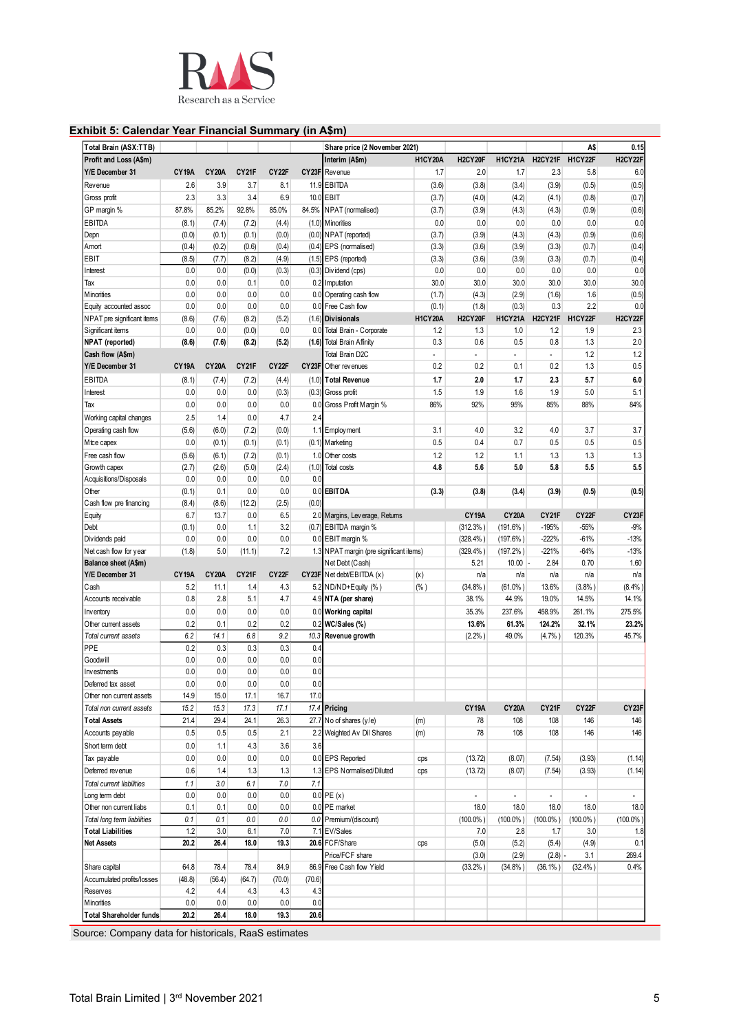

# **Exhibit 5: Calendar Year Financial Summary (in A\$m)**

| Total Brain (ASX:TTB)                                  |              |              |            |                    |            | Share price (2 November 2021)           |                |                      |                             |                     | A\$                 | 0.15                |
|--------------------------------------------------------|--------------|--------------|------------|--------------------|------------|-----------------------------------------|----------------|----------------------|-----------------------------|---------------------|---------------------|---------------------|
| Profit and Loss (A\$m)                                 |              |              |            |                    |            | Interim (A\$m)                          | <b>H1CY20A</b> | H2CY20F              | <b>H1CY21A</b>              | H2CY21F             | H1CY22F             | H2CY22F             |
| Y/E December 31                                        | <b>CY19A</b> | <b>CY20A</b> | CY21F      | CY22F              |            | CY23F Revenue                           | 1.7            | 2.0                  | 1.7                         | 2.3                 | 5.8                 | 6.0                 |
| Revenue                                                | 2.6          | 3.9          | 3.7        | 8.1                |            | 11.9 EBITDA                             | (3.6)          | (3.8)                | (3.4)                       | (3.9)               | (0.5)               | (0.5)               |
| Gross profit                                           | 2.3          | 3.3          | 3.4        | 6.9                |            | 10.0 EBIT                               | (3.7)          | (4.0)                | (4.2)                       | (4.1)               | (0.8)               | (0.7)               |
| GP margin %                                            | 87.8%        | 85.2%        | 92.8%      | 85.0%              | 84.5%      | NPAT (normalised)                       | (3.7)          | (3.9)                | (4.3)                       | (4.3)               | (0.9)               | (0.6)               |
| EBITDA                                                 | (8.1)        | (7.4)        | (7.2)      | (4.4)              |            | (1.0) Minorities                        | 0.0            | 0.0                  | 0.0                         | 0.0                 | 0.0                 | 0.0                 |
| Depn                                                   | (0.0)        | (0.1)        | (0.1)      | (0.0)              |            | (0.0) NPAT (reported)                   | (3.7)          | (3.9)                | (4.3)                       | (4.3)               | (0.9)               | (0.6)               |
| Amort                                                  | (0.4)        | (0.2)        | (0.6)      | (0.4)              |            | (0.4) EPS (normalised)                  | (3.3)          | (3.6)                | (3.9)                       | (3.3)               | (0.7)               | (0.4)               |
| EBIT                                                   | (8.5)        | (7.7)        | (8.2)      | (4.9)              |            | (1.5) EPS (reported)                    | (3.3)          | (3.6)                | (3.9)                       | (3.3)               | (0.7)               | (0.4)               |
| Interest                                               | 0.0          | 0.0          | (0.0)      | (0.3)              |            | (0.3) Dividend (cps)                    | 0.0            | 0.0                  | 0.0                         | 0.0                 | 0.0                 | 0.0                 |
| Tax                                                    | 0.0          | 0.0          | 0.1        | 0.0                |            | 0.2 Imputation                          | 30.0           | 30.0                 | 30.0                        | 30.0                | 30.0                | 30.0                |
| Minorities                                             | 0.0          | 0.0          | 0.0        | 0.0                |            | 0.0 Operating cash flow                 | (1.7)          | (4.3)                | (2.9)                       | (1.6)               | 1.6                 | (0.5)               |
| Equity accounted assoc                                 | 0.0          | 0.0          | 0.0        | 0.0                |            | 0.0 Free Cash flow                      | (0.1)          | (1.8)                | (0.3)                       | 0.3                 | 2.2                 | 0.0                 |
| NPAT pre significant items                             | (8.6)        | (7.6)        | (8.2)      | (5.2)              |            | (1.6) Divisionals                       | <b>H1CY20A</b> | H2CY20F              | <b>H1CY21A</b>              | H2CY21F             | H1CY22F             | H2CY22F             |
| Significant items                                      | 0.0          | 0.0          | (0.0)      | 0.0                |            | 0.0 Total Brain - Corporate             | 1.2            | 1.3                  | 1.0                         | 1.2                 | 1.9                 | 2.3                 |
| NPAT (reported)                                        | (8.6)        | (7.6)        | (8.2)      | (5.2)              |            | (1.6) Total Brain Affinity              | 0.3            | 0.6                  | 0.5                         | 0.8                 | 1.3                 | 2.0                 |
| Cash flow (A\$m)                                       |              |              |            |                    |            | <b>Total Brain D2C</b>                  | ÷,             | $\blacksquare$       | $\mathcal{L}_{\mathcal{A}}$ | $\overline{a}$      | 1.2                 | 1.2                 |
| Y/E December 31                                        | <b>CY19A</b> | <b>CY20A</b> | CY21F      | CY <sub>22</sub> F |            | CY23F Other revenues                    | 0.2            | 0.2                  | 0.1                         | 0.2                 | 1.3                 | 0.5                 |
| <b>EBITDA</b>                                          | (8.1)        | (7.4)        | (7.2)      | (4.4)              |            | (1.0) Total Revenue                     | 1.7            | 2.0                  | 1.7                         | 2.3                 | 5.7                 | 6.0                 |
| Interest                                               | 0.0          | 0.0          | 0.0        | (0.3)              |            | (0.3) Gross profit                      | 1.5            | 1.9                  | 1.6                         | 1.9                 | 5.0                 | 5.1                 |
| Tax                                                    | 0.0          | 0.0          | 0.0        | 0.0                | 0.0        | Gross Profit Margin %                   | 86%            | 92%                  | 95%                         | 85%                 | 88%                 | 84%                 |
| Working capital changes                                | 2.5          | 1.4          | 0.0        | 4.7                | 2.4        |                                         |                |                      |                             |                     |                     |                     |
| Operating cash flow                                    | (5.6)        | (6.0)        | (7.2)      | (0.0)              |            | 1.1 Employment                          | 3.1            | 4.0                  | 3.2                         | 4.0                 | 3.7                 | 3.7                 |
| Mtce capex                                             | 0.0          | (0.1)        | (0.1)      | (0.1)              |            | (0.1) Marketing                         | 0.5            | 0.4                  | 0.7                         | 0.5                 | 0.5                 | 0.5                 |
| Free cash flow                                         | (5.6)        | (6.1)        | (7.2)      | (0.1)              |            | 1.0 Other costs                         | 1.2            | 1.2                  | 1.1                         | 1.3                 | 1.3                 | 1.3                 |
| Growth capex                                           | (2.7)        | (2.6)        | (5.0)      | (2.4)              | (1.0)      | <b>Total costs</b>                      | 4.8            | 5.6                  | 5.0                         | 5.8                 | 5.5                 | 5.5                 |
| Acquisitions/Disposals                                 | 0.0          | 0.0          | 0.0        | 0.0                | 0.0        |                                         |                |                      |                             |                     |                     |                     |
| Other                                                  | (0.1)        | 0.1          | 0.0        | 0.0                |            | 0.0 EBITDA                              | (3.3)          | (3.8)                | (3.4)                       | (3.9)               | (0.5)               | (0.5)               |
| Cash flow pre financing                                | (8.4)        | (8.6)        | (12.2)     | (2.5)              | (0.0)      |                                         |                |                      |                             |                     |                     |                     |
| Equity                                                 | 6.7          | 13.7         | 0.0        | 6.5                |            | 2.0 Margins, Leverage, Returns          |                | <b>CY19A</b>         | <b>CY20A</b>                | CY21F               | CY22F               | CY23F               |
| Debt                                                   | (0.1)        | 0.0          | 1.1        | 3.2                |            | (0.7) EBITDA margin %                   |                | (312.3% )            | $(191.6\%)$                 | $-195%$             | $-55%$              | $-9%$               |
| Dividends paid                                         | 0.0          | 0.0          | 0.0        | 0.0                |            | 0.0 EBIT margin %                       |                | (328.4% )            | $(197.6\%)$                 | $-222%$             | $-61%$              | $-13%$              |
| Net cash flow for year                                 | (1.8)        | 5.0          | (11.1)     | 7.2                |            | 1.3 NPAT margin (pre significant items) |                | (329.4% )            | $(197.2\%)$                 | $-221%$             | $-64%$              | $-13%$              |
| Balance sheet (A\$m)                                   |              |              |            |                    |            | Net Debt (Cash)                         |                | 5.21                 | 10.00                       | 2.84                | 0.70                | 1.60                |
| Y/E December 31                                        | <b>CY19A</b> | <b>CY20A</b> | CY21F      | CY22F              |            | CY23F Net debt/EBITDA (x)               | (x)            | n/a                  | n/a                         | n/a                 | n/a                 | n/a                 |
| Cash                                                   | 5.2          | 11.1         | 1.4        | 4.3                |            | 5.2 ND/ND+Equity (%)                    | (% )           | (34.8%)              | $(61.0\%)$                  | 13.6%               | (3.8%)              | (8.4%               |
| Accounts receivable                                    | 0.8          | 2.8          | 5.1        | 4.7                |            | 4.9 NTA (per share)                     |                | 38.1%                | 44.9%                       | 19.0%               | 14.5%               | 14.1%               |
| Inventory                                              | 0.0          | 0.0          | 0.0        | 0.0                |            | 0.0 Working capital                     |                | 35.3%                | 237.6%                      | 458.9%              | 261.1%              | 275.5%              |
| Other current assets                                   | 0.2          | 0.1          | 0.2        | 0.2                |            | 0.2 WC/Sales (%)                        |                | 13.6%                | 61.3%                       | 124.2%              | 32.1%               | 23.2%               |
| Total current assets                                   | 6.2          | 14.1         | 6.8        | 9.2                | 10.3       | Revenue growth                          |                | (2.2% )              | 49.0%                       | $(4.7%$ )           | 120.3%              | 45.7%               |
| PPE                                                    | 0.2          | 0.3          | 0.3        | 0.3                | 0.4        |                                         |                |                      |                             |                     |                     |                     |
| Goodwill                                               | 0.0          | 0.0          | 0.0        | 0.0                | 0.0        |                                         |                |                      |                             |                     |                     |                     |
| Investments                                            | 0.0<br>0.0   | 0.0<br>0.0   | 0.0<br>0.0 | 0.0<br>0.0         | 0.0<br>0.0 |                                         |                |                      |                             |                     |                     |                     |
| Deferred tax asset<br>Other non current assets         | 14.9         | 15.0         | 17.1       | 16.7               | 17.0       |                                         |                |                      |                             |                     |                     |                     |
| Total non current assets                               | 15.2         | 15.3         | 17.3       | 17.1               |            | 17.4 Pricing                            |                | CY19A                | <b>CY20A</b>                | CY21F               | CY22F               | CY23F               |
| <b>Total Assets</b>                                    | 21.4         | 29.4         | 24.1       | 26.3               | 27.7       | No of shares (y/e)                      | (m)            | 78                   | 108                         | 108                 | 146                 | 146                 |
| Accounts pay able                                      | 0.5          | 0.5          | 0.5        | 2.1                |            | 2.2 Weighted Av Dil Shares              |                | 78                   | 108                         | 108                 | 146                 | 146                 |
| Short term debt                                        | 0.0          | 1.1          | 4.3        | 3.6                | 3.6        |                                         | (m)            |                      |                             |                     |                     |                     |
|                                                        |              |              |            | 0.0                |            | 0.0 EPS Reported                        |                |                      |                             |                     |                     |                     |
| Tax pay able                                           | 0.0          | 0.0          | 0.0        |                    |            |                                         | cps            | (13.72)              | (8.07)                      | (7.54)              | (3.93)              | (1.14)              |
| Deferred revenue                                       | 0.6          | 1.4          | 1.3        | 1.3                |            | 1.3 EPS Normalised/Diluted              | cps            | (13.72)              | (8.07)                      | (7.54)              | (3.93)              | (1.14)              |
| Total current liabilities                              | 1.1          | 3.0          | 6.1        | 7.0                | 7.1        | $0.0$ PE $(x)$                          |                | $\overline{a}$       | $\omega$                    |                     |                     | ÷,                  |
| Long term debt                                         | 0.0          | 0.0<br>0.1   | 0.0<br>0.0 | 0.0<br>0.0         |            | 0.0 PE market                           |                |                      |                             | $\blacksquare$      | ÷.                  |                     |
| Other non current liabs<br>Total long term liabilities | 0.1<br>0.1   | 0.1          | 0.0        | 0.0                |            | 0.0 Premium/(discount)                  |                | 18.0<br>$(100.0\%$ ) | 18.0<br>$(100.0\%)$         | 18.0<br>$(100.0\%)$ | 18.0<br>$(100.0\%)$ | 18.0<br>$(100.0\%)$ |
| <b>Total Liabilities</b>                               | 1.2          | 3.0          | 6.1        | 7.0                |            | 7.1 EV/Sales                            |                |                      |                             |                     |                     |                     |
| <b>Net Assets</b>                                      | 20.2         | 26.4         | 18.0       | 19.3               |            | 20.6 FCF/Share                          |                | 7.0<br>(5.0)         | 2.8<br>(5.2)                | 1.7<br>(5.4)        | 3.0<br>(4.9)        | 1.8<br>0.1          |
|                                                        |              |              |            |                    |            | Price/FCF share                         | cps            | (3.0)                | (2.9)                       | (2.8)               | 3.1                 | 269.4               |
| Share capital                                          | 64.8         | 78.4         | 78.4       | 84.9               |            | 86.9 Free Cash flow Yield               |                | (33.2%)              | (34.8%)                     | $(36.1\%)$          | (32.4% )            | 0.4%                |
| Accumulated profits/losses                             | (48.8)       | (56.4)       | (64.7)     | (70.0)             | (70.6)     |                                         |                |                      |                             |                     |                     |                     |
| <b>Reserves</b>                                        | 4.2          | 4.4          | 4.3        | 4.3                | 4.3        |                                         |                |                      |                             |                     |                     |                     |
| Minorities                                             | 0.0          | 0.0          | 0.0        | 0.0                | 0.0        |                                         |                |                      |                             |                     |                     |                     |
| <b>Total Shareholder funds</b>                         | 20.2         | 26.4         | 18.0       | 19.3               | 20.6       |                                         |                |                      |                             |                     |                     |                     |
|                                                        |              |              |            |                    |            |                                         |                |                      |                             |                     |                     |                     |

Source: Company data for historicals, RaaS estimates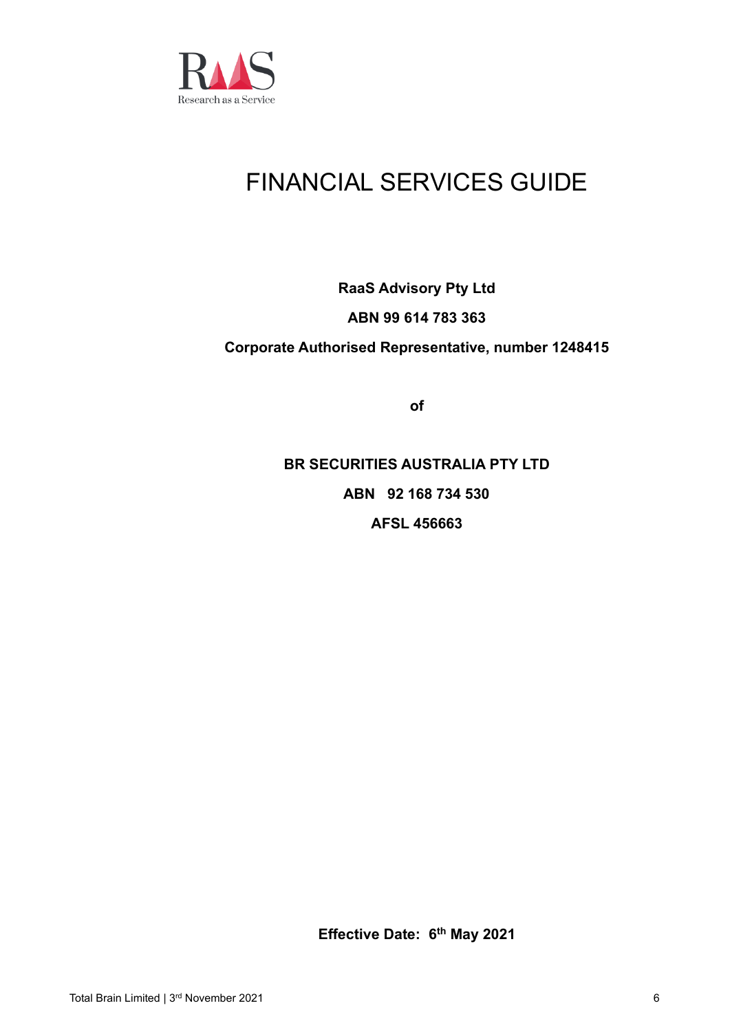

# FINANCIAL SERVICES GUIDE

# **RaaS Advisory Pty Ltd ABN 99 614 783 363 Corporate Authorised Representative, number 1248415**

**of**

**BR SECURITIES AUSTRALIA PTY LTD ABN 92 168 734 530 AFSL 456663**

**Effective Date: 6 th May 2021**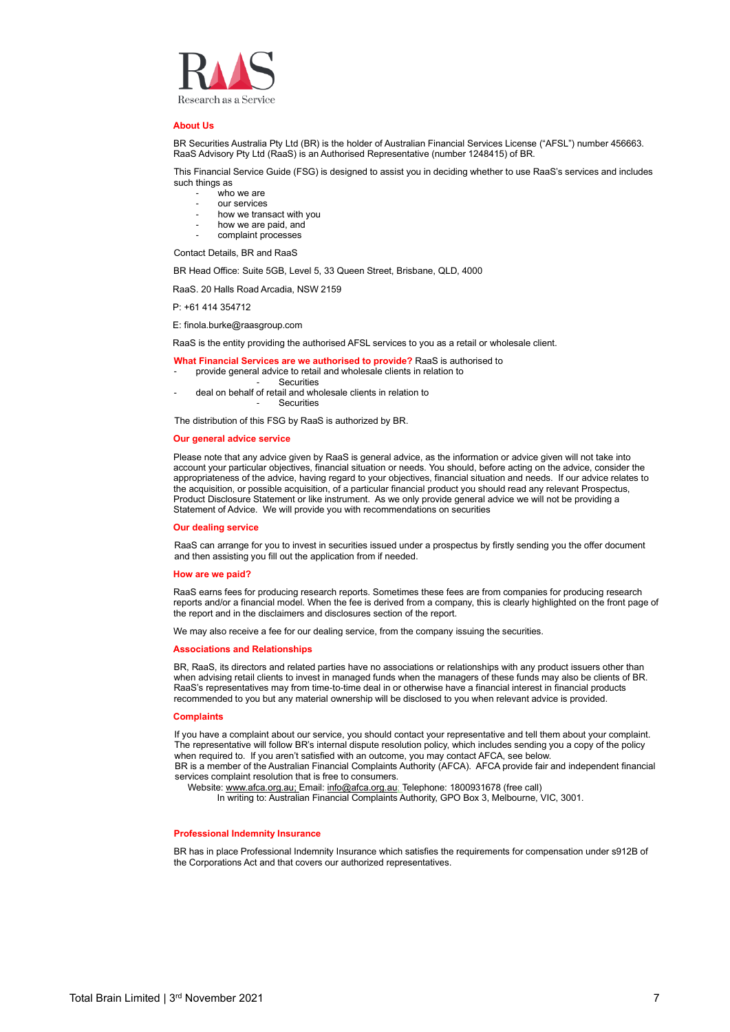

#### **About Us**

BR Securities Australia Pty Ltd (BR) is the holder of Australian Financial Services License ("AFSL") number 456663. RaaS Advisory Pty Ltd (RaaS) is an Authorised Representative (number 1248415) of BR.

This Financial Service Guide (FSG) is designed to assist you in deciding whether to use RaaS's services and includes such things as

- who we are
- our services
- how we transact with you
- how we are paid, and
- complaint processes

Contact Details, BR and RaaS

BR Head Office: Suite 5GB, Level 5, 33 Queen Street, Brisbane, QLD, 4000

RaaS. 20 Halls Road Arcadia, NSW 2159

P: +61 414 354712

E: finola.burke@raasgroup.com

RaaS is the entity providing the authorised AFSL services to you as a retail or wholesale client.

- **What Financial Services are we authorised to provide?** RaaS is authorised to
- provide general advice to retail and wholesale clients in relation to
	- **Securities**
- deal on behalf of retail and wholesale clients in relation to **Securities**

The distribution of this FSG by RaaS is authorized by BR.

#### **Our general advice service**

Please note that any advice given by RaaS is general advice, as the information or advice given will not take into account your particular objectives, financial situation or needs. You should, before acting on the advice, consider the appropriateness of the advice, having regard to your objectives, financial situation and needs. If our advice relates to the acquisition, or possible acquisition, of a particular financial product you should read any relevant Prospectus, Product Disclosure Statement or like instrument. As we only provide general advice we will not be providing a Statement of Advice. We will provide you with recommendations on securities

#### **Our dealing service**

RaaS can arrange for you to invest in securities issued under a prospectus by firstly sending you the offer document and then assisting you fill out the application from if needed.

#### **How are we paid?**

RaaS earns fees for producing research reports. Sometimes these fees are from companies for producing research reports and/or a financial model. When the fee is derived from a company, this is clearly highlighted on the front page of the report and in the disclaimers and disclosures section of the report.

We may also receive a fee for our dealing service, from the company issuing the securities.

#### **Associations and Relationships**

BR, RaaS, its directors and related parties have no associations or relationships with any product issuers other than when advising retail clients to invest in managed funds when the managers of these funds may also be clients of BR. RaaS's representatives may from time-to-time deal in or otherwise have a financial interest in financial products recommended to you but any material ownership will be disclosed to you when relevant advice is provided.

#### **Complaints**

If you have a complaint about our service, you should contact your representative and tell them about your complaint. The representative will follow BR's internal dispute resolution policy, which includes sending you a copy of the policy when required to. If you aren't satisfied with an outcome, you may contact AFCA, see below.

BR is a member of the Australian Financial Complaints Authority (AFCA). AFCA provide fair and independent financial services complaint resolution that is free to consumers.

Website[: www.afca.org.au;](http://www.afca.org.au/) Email: [info@afca.org.au;](mailto:info@afca.org.au) Telephone: 1800931678 (free call)

In writing to: Australian Financial Complaints Authority, GPO Box 3, Melbourne, VIC, 3001.

#### **Professional Indemnity Insurance**

BR has in place Professional Indemnity Insurance which satisfies the requirements for compensation under s912B of the Corporations Act and that covers our authorized representatives.